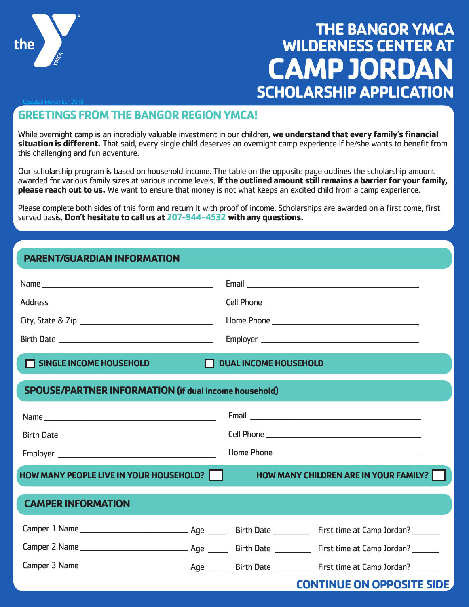

# **THE BANGOR YMCA WILDERNESS CENTER AT CAMP JORDA SCHOLARSHIP APPLICATION**

# **GREETINGS FROM THE BANGOR REGION YMCA!**

While overnight camp is an incredibly valuable investment in our children, **we understand that every family's financial situation is different.** That said, every single child deserves an overnight camp experience if he/she wants to benefit from this challenging and fun adventure.

Our scholarship program is based on household income. The table on the opposite page outlines the scholarship amount awarded for various family sizes at various income levels. **If the outlined amount still remains a barrier for your family, please reach out to us.** We want to ensure that money is not what keeps an excited child from a camp experience.

Please complete both sides of this form and return it with proof of income. Scholarships are awarded on a first come, first served basis. **Don't hesitate to call us at 207-944-4532 with any questions.**

# **PARENT/GUARDIAN INFORMATION**

| SINGLE INCOME HOUSEHOLD                                      | П. | <b>DUAL INCOME HOUSEHOLD</b> |                                       |  |  |  |
|--------------------------------------------------------------|----|------------------------------|---------------------------------------|--|--|--|
| <b>SPOUSE/PARTNER INFORMATION (if dual income household)</b> |    |                              |                                       |  |  |  |
|                                                              |    |                              |                                       |  |  |  |
|                                                              |    |                              |                                       |  |  |  |
|                                                              |    |                              |                                       |  |  |  |
| <b>HOW MANY PEOPLE LIVE IN YOUR HOUSEHOLD?</b>               |    |                              | HOW MANY CHILDREN ARE IN YOUR FAMILY? |  |  |  |
| <b>CAMPER INFORMATION</b>                                    |    |                              |                                       |  |  |  |
|                                                              |    |                              |                                       |  |  |  |
|                                                              |    |                              |                                       |  |  |  |
|                                                              |    |                              |                                       |  |  |  |
|                                                              |    |                              | <b>CONTINUE ON OPPOSITE SIDE</b>      |  |  |  |